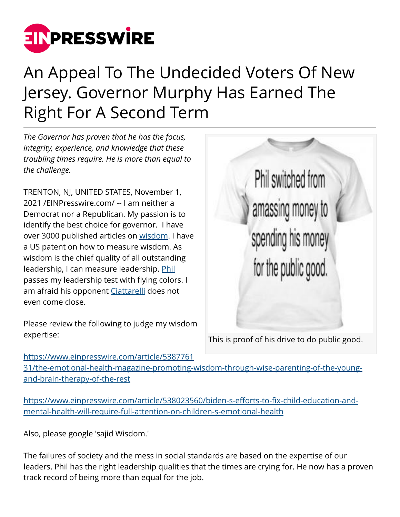

## An Appeal To The Undecided Voters Of New Jersey. Governor Murphy Has Earned The Right For A Second Term

*The Governor has proven that he has the focus, integrity, experience, and knowledge that these troubling times require. He is more than equal to the challenge.*

TRENTON, NJ, UNITED STATES, November 1, 2021 /[EINPresswire.com](http://www.einpresswire.com)/ -- I am neither a Democrat nor a Republican. My passion is to identify the best choice for governor. I have over 3000 published articles on [wisdom](http://www.einpresswire.com/shareable-preview/ahz0FoPDG5n2--T6_GQhag). I have a US patent on how to measure wisdom. As wisdom is the chief quality of all outstanding leadership, I can measure leadership. [Phil](https://www.einpresswire.com/article/384137834/it-is-about-time-new-jersey-has-a-governor-who-will-deliver) passes my leadership test with flying colors. I am afraid his opponent [Ciattarelli](https://www.einpresswire.com/article/383806275/phil-murphy-a-governor-who-has-what-it-takes-to-make-new-jersey-1-again) does not even come close.

Please review the following to judge my wisdom expertise:



This is proof of his drive to do public good.

[https://www.einpresswire.com/article/5387761](https://www.einpresswire.com/article/538776131/the-emotional-health-magazine-promoting-wisdom-through-wise-parenting-of-the-young-and-brain-therapy-of-the-rest) [31/the-emotional-health-magazine-promoting-wisdom-through-wise-parenting-of-the-young](https://www.einpresswire.com/article/538776131/the-emotional-health-magazine-promoting-wisdom-through-wise-parenting-of-the-young-and-brain-therapy-of-the-rest)[and-brain-therapy-of-the-rest](https://www.einpresswire.com/article/538776131/the-emotional-health-magazine-promoting-wisdom-through-wise-parenting-of-the-young-and-brain-therapy-of-the-rest)

[https://www.einpresswire.com/article/538023560/biden-s-efforts-to-fix-child-education-and](https://www.einpresswire.com/article/538023560/biden-s-efforts-to-fix-child-education-and-mental-health-will-require-full-attention-on-children-s-emotional-health)[mental-health-will-require-full-attention-on-children-s-emotional-health](https://www.einpresswire.com/article/538023560/biden-s-efforts-to-fix-child-education-and-mental-health-will-require-full-attention-on-children-s-emotional-health)

Also, please google 'sajid Wisdom.'

The failures of society and the mess in social standards are based on the expertise of our leaders. Phil has the right leadership qualities that the times are crying for. He now has a proven track record of being more than equal for the job.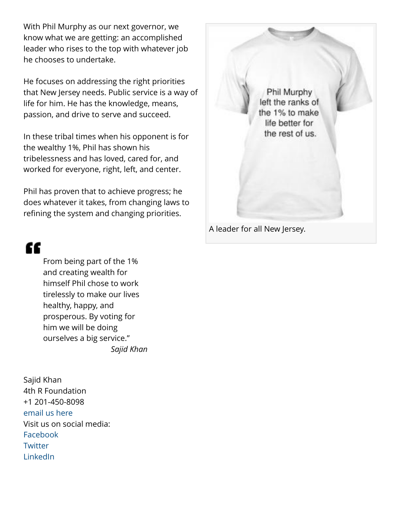With Phil Murphy as our next governor, we know what we are getting: an accomplished leader who rises to the top with whatever job he chooses to undertake.

He focuses on addressing the right priorities that New Jersey needs. Public service is a way of life for him. He has the knowledge, means, passion, and drive to serve and succeed.

In these tribal times when his opponent is for the wealthy 1%, Phil has shown his tribelessness and has loved, cared for, and worked for everyone, right, left, and center.

Phil has proven that to achieve progress; he does whatever it takes, from changing laws to refining the system and changing priorities.



"

From being part of the 1% and creating wealth for himself Phil chose to work tirelessly to make our lives healthy, happy, and prosperous. By voting for him we will be doing ourselves a big service." *Sajid Khan*

Sajid Khan 4th R Foundation +1 201-450-8098 [email us here](http://www.einpresswire.com/contact_author/3011849) Visit us on social media: [Facebook](https://www.facebook.com/braintecness/) **[Twitter](https://twitter.com/Brainwizard/status/955419069171355648)** [LinkedIn](https://www.linkedin.com/in/sajid-khan-b768901a)